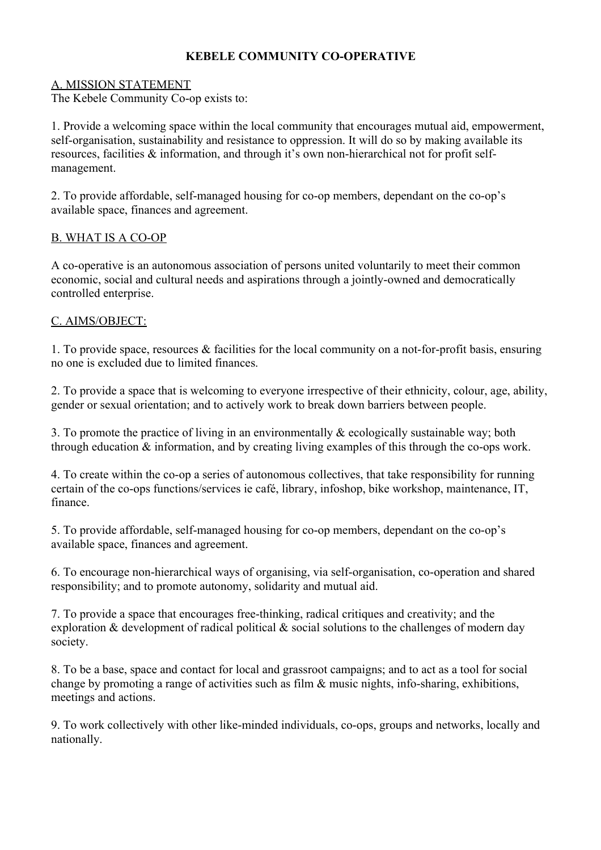# **KEBELE COMMUNITY CO-OPERATIVE**

### A. MISSION STATEMENT

The Kebele Community Co-op exists to:

1. Provide a welcoming space within the local community that encourages mutual aid, empowerment, self-organisation, sustainability and resistance to oppression. It will do so by making available its resources, facilities & information, and through it's own non-hierarchical not for profit selfmanagement.

2. To provide affordable, self-managed housing for co-op members, dependant on the co-op's available space, finances and agreement.

### B. WHAT IS A CO-OP

A co-operative is an autonomous association of persons united voluntarily to meet their common economic, social and cultural needs and aspirations through a jointly-owned and democratically controlled enterprise.

### C. AIMS/OBJECT:

1. To provide space, resources & facilities for the local community on a not-for-profit basis, ensuring no one is excluded due to limited finances.

2. To provide a space that is welcoming to everyone irrespective of their ethnicity, colour, age, ability, gender or sexual orientation; and to actively work to break down barriers between people.

3. To promote the practice of living in an environmentally  $\&$  ecologically sustainable way; both through education & information, and by creating living examples of this through the co-ops work.

4. To create within the co-op a series of autonomous collectives, that take responsibility for running certain of the co-ops functions/services ie café, library, infoshop, bike workshop, maintenance, IT, finance.

5. To provide affordable, self-managed housing for co-op members, dependant on the co-op's available space, finances and agreement.

6. To encourage non-hierarchical ways of organising, via self-organisation, co-operation and shared responsibility; and to promote autonomy, solidarity and mutual aid.

7. To provide a space that encourages free-thinking, radical critiques and creativity; and the exploration & development of radical political & social solutions to the challenges of modern day society.

8. To be a base, space and contact for local and grassroot campaigns; and to act as a tool for social change by promoting a range of activities such as film  $\&$  music nights, info-sharing, exhibitions, meetings and actions.

9. To work collectively with other like-minded individuals, co-ops, groups and networks, locally and nationally.